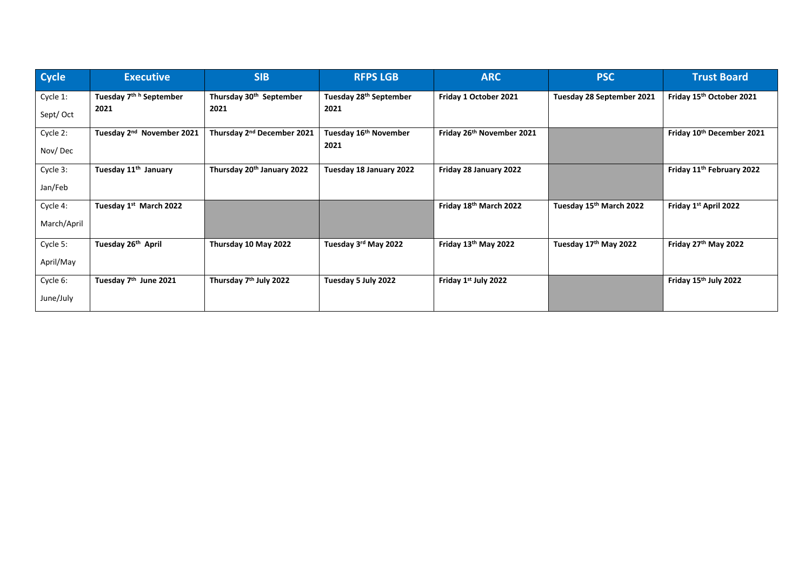| <b>Cycle</b> | <b>Executive</b>                      | <b>SIB</b>                             | <b>RFPS LGB</b>                    | <b>ARC</b>                | <b>PSC</b>                          | <b>Trust Board</b>                    |
|--------------|---------------------------------------|----------------------------------------|------------------------------------|---------------------------|-------------------------------------|---------------------------------------|
| Cycle 1:     | Tuesday 7 <sup>th h</sup> September   | Thursday 30 <sup>th</sup> September    | Tuesday 28 <sup>th</sup> September | Friday 1 October 2021     | Tuesday 28 September 2021           | Friday 15th October 2021              |
| Sept/Oct     | 2021                                  | 2021                                   | 2021                               |                           |                                     |                                       |
| Cycle 2:     | Tuesday 2 <sup>nd</sup> November 2021 | Thursday 2 <sup>nd</sup> December 2021 | Tuesday 16 <sup>th</sup> November  | Friday 26th November 2021 |                                     | Friday 10th December 2021             |
| Nov/Dec      |                                       |                                        | 2021                               |                           |                                     |                                       |
| Cycle 3:     | Tuesday 11 <sup>th</sup> January      | Thursday 20th January 2022             | Tuesday 18 January 2022            | Friday 28 January 2022    |                                     | Friday 11 <sup>th</sup> February 2022 |
| Jan/Feb      |                                       |                                        |                                    |                           |                                     |                                       |
| Cycle 4:     | Tuesday 1st March 2022                |                                        |                                    | Friday 18th March 2022    | Tuesday 15 <sup>th</sup> March 2022 | Friday 1st April 2022                 |
| March/April  |                                       |                                        |                                    |                           |                                     |                                       |
| Cycle 5:     | Tuesday 26th April                    | Thursday 10 May 2022                   | Tuesday 3rd May 2022               | Friday 13th May 2022      | Tuesday 17th May 2022               | Friday 27th May 2022                  |
| April/May    |                                       |                                        |                                    |                           |                                     |                                       |
| Cycle 6:     | Tuesday 7 <sup>th</sup> June 2021     | Thursday 7 <sup>th</sup> July 2022     | Tuesday 5 July 2022                | Friday 1st July 2022      |                                     | Friday 15th July 2022                 |
| June/July    |                                       |                                        |                                    |                           |                                     |                                       |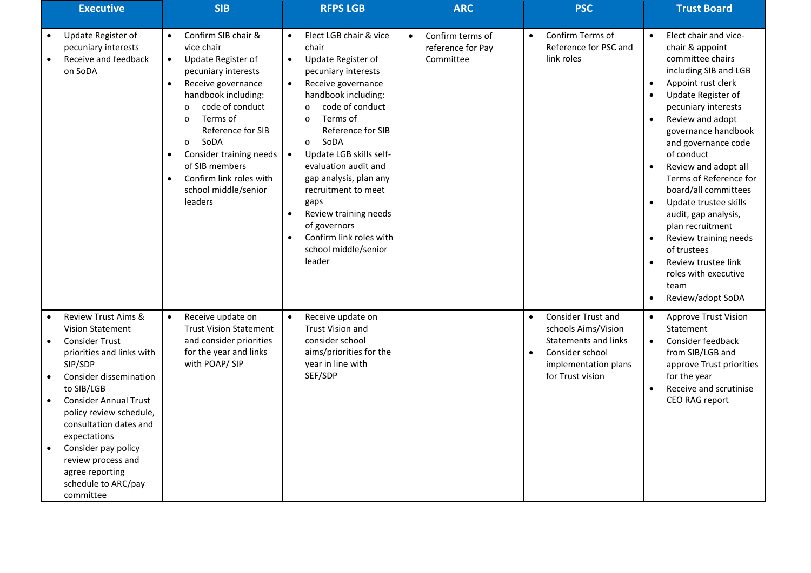| <b>Executive</b>                                                                                                                                                                                                                                                                                                                                                                         | <b>SIB</b>                                                                                                                                                                                                                                                                                                                                                                            | <b>RFPS LGB</b>                                                                                                                                                                                                                                                                                                                                                                                                                                                                                                                   | <b>ARC</b>                                                      | <b>PSC</b>                                                                                                                                                        | <b>Trust Board</b>                                                                                                                                                                                                                                                                                                                                                                                                                                                                                                       |
|------------------------------------------------------------------------------------------------------------------------------------------------------------------------------------------------------------------------------------------------------------------------------------------------------------------------------------------------------------------------------------------|---------------------------------------------------------------------------------------------------------------------------------------------------------------------------------------------------------------------------------------------------------------------------------------------------------------------------------------------------------------------------------------|-----------------------------------------------------------------------------------------------------------------------------------------------------------------------------------------------------------------------------------------------------------------------------------------------------------------------------------------------------------------------------------------------------------------------------------------------------------------------------------------------------------------------------------|-----------------------------------------------------------------|-------------------------------------------------------------------------------------------------------------------------------------------------------------------|--------------------------------------------------------------------------------------------------------------------------------------------------------------------------------------------------------------------------------------------------------------------------------------------------------------------------------------------------------------------------------------------------------------------------------------------------------------------------------------------------------------------------|
| Update Register of<br>pecuniary interests<br>Receive and feedback<br>on SoDA                                                                                                                                                                                                                                                                                                             | Confirm SIB chair &<br>vice chair<br>Update Register of<br>$\bullet$<br>pecuniary interests<br>Receive governance<br>$\bullet$<br>handbook including:<br>code of conduct<br>$\Omega$<br>Terms of<br>$\mathbf{O}$<br>Reference for SIB<br>SoDA<br>$\mathbf{O}$<br>Consider training needs<br>$\bullet$<br>of SIB members<br>Confirm link roles with<br>school middle/senior<br>leaders | Elect LGB chair & vice<br>$\bullet$<br>chair<br>Update Register of<br>$\bullet$<br>pecuniary interests<br>Receive governance<br>$\bullet$<br>handbook including:<br>code of conduct<br>$\Omega$<br>Terms of<br>$\mathbf{0}$<br>Reference for SIB<br>SoDA<br>$\mathbf{O}$<br>Update LGB skills self-<br>$\bullet$<br>evaluation audit and<br>gap analysis, plan any<br>recruitment to meet<br>gaps<br>Review training needs<br>$\bullet$<br>of governors<br>Confirm link roles with<br>$\bullet$<br>school middle/senior<br>leader | Confirm terms of<br>$\bullet$<br>reference for Pay<br>Committee | Confirm Terms of<br>$\bullet$<br>Reference for PSC and<br>link roles                                                                                              | Elect chair and vice-<br>$\bullet$<br>chair & appoint<br>committee chairs<br>including SIB and LGB<br>Appoint rust clerk<br>Update Register of<br>pecuniary interests<br>Review and adopt<br>governance handbook<br>and governance code<br>of conduct<br>Review and adopt all<br>Terms of Reference for<br>board/all committees<br>Update trustee skills<br>audit, gap analysis,<br>plan recruitment<br>Review training needs<br>of trustees<br>Review trustee link<br>roles with executive<br>team<br>Review/adopt SoDA |
| <b>Review Trust Aims &amp;</b><br><b>Vision Statement</b><br><b>Consider Trust</b><br>priorities and links with<br>SIP/SDP<br>Consider dissemination<br>$\bullet$<br>to SIB/LGB<br><b>Consider Annual Trust</b><br>policy review schedule,<br>consultation dates and<br>expectations<br>Consider pay policy<br>review process and<br>agree reporting<br>schedule to ARC/pay<br>committee | Receive update on<br>$\bullet$<br><b>Trust Vision Statement</b><br>and consider priorities<br>for the year and links<br>with POAP/ SIP                                                                                                                                                                                                                                                | Receive update on<br>$\bullet$<br><b>Trust Vision and</b><br>consider school<br>aims/priorities for the<br>year in line with<br>SEF/SDP                                                                                                                                                                                                                                                                                                                                                                                           |                                                                 | <b>Consider Trust and</b><br>$\bullet$<br>schools Aims/Vision<br>Statements and links<br>Consider school<br>$\bullet$<br>implementation plans<br>for Trust vision | <b>Approve Trust Vision</b><br>$\bullet$<br>Statement<br>Consider feedback<br>$\bullet$<br>from SIB/LGB and<br>approve Trust priorities<br>for the year<br>Receive and scrutinise<br>CEO RAG report                                                                                                                                                                                                                                                                                                                      |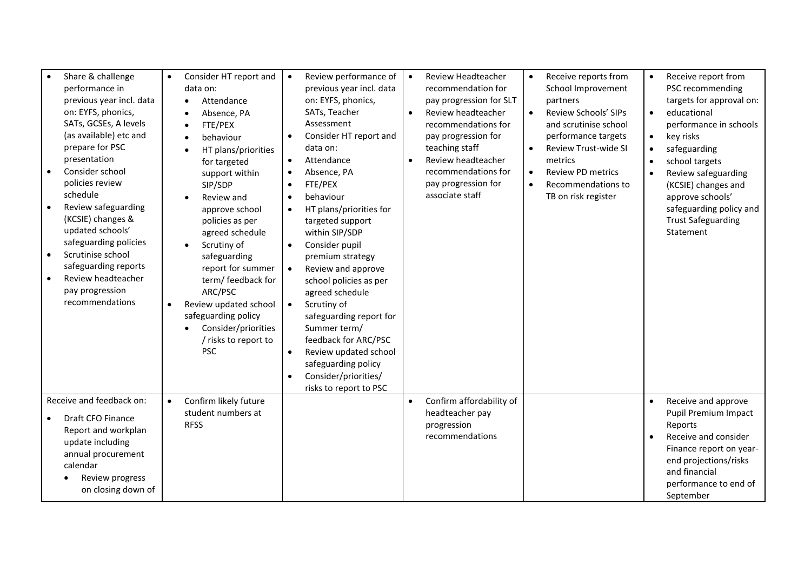| Share & challenge<br>performance in<br>previous year incl. data<br>on: EYFS, phonics,<br>SATs, GCSEs, A levels<br>(as available) etc and<br>prepare for PSC<br>presentation<br>Consider school<br>policies review<br>schedule<br>Review safeguarding<br>(KCSIE) changes &<br>updated schools'<br>safeguarding policies<br>Scrutinise school<br>safeguarding reports<br>Review headteacher<br>pay progression<br>recommendations | Consider HT report and<br>$\bullet$<br>data on:<br>Attendance<br>$\bullet$<br>Absence, PA<br>FTE/PEX<br>behaviour<br>HT plans/priorities<br>for targeted<br>support within<br>SIP/SDP<br>Review and<br>approve school<br>policies as per<br>agreed schedule<br>Scrutiny of<br>safeguarding<br>report for summer<br>term/ feedback for<br>ARC/PSC<br>Review updated school<br>$\bullet$<br>safeguarding policy<br>Consider/priorities<br>/ risks to report to<br><b>PSC</b> | Review performance of<br>$\bullet$<br>previous year incl. data<br>on: EYFS, phonics,<br>SATs, Teacher<br>Assessment<br>Consider HT report and<br>data on:<br>Attendance<br>$\bullet$<br>Absence, PA<br>$\bullet$<br>FTE/PEX<br>$\bullet$<br>behaviour<br>$\bullet$<br>HT plans/priorities for<br>targeted support<br>within SIP/SDP<br>Consider pupil<br>$\bullet$<br>premium strategy<br>Review and approve<br>school policies as per<br>agreed schedule<br>Scrutiny of<br>$\bullet$<br>safeguarding report for<br>Summer term/<br>feedback for ARC/PSC<br>Review updated school<br>safeguarding policy<br>Consider/priorities/<br>risks to report to PSC | Review Headteacher<br>$\bullet$<br>recommendation for<br>pay progression for SLT<br>Review headteacher<br>$\bullet$<br>recommendations for<br>pay progression for<br>teaching staff<br>Review headteacher<br>$\bullet$<br>recommendations for<br>pay progression for<br>associate staff | Receive reports from<br>$\bullet$<br>School Improvement<br>partners<br>Review Schools' SIPs<br>$\bullet$<br>and scrutinise school<br>performance targets<br><b>Review Trust-wide SI</b><br>metrics<br><b>Review PD metrics</b><br>$\bullet$<br>Recommendations to<br>$\bullet$<br>TB on risk register | Receive report from<br>PSC recommending<br>targets for approval on:<br>educational<br>$\bullet$<br>performance in schools<br>key risks<br>$\bullet$<br>safeguarding<br>$\bullet$<br>school targets<br>Review safeguarding<br>(KCSIE) changes and<br>approve schools'<br>safeguarding policy and<br><b>Trust Safeguarding</b><br>Statement |
|---------------------------------------------------------------------------------------------------------------------------------------------------------------------------------------------------------------------------------------------------------------------------------------------------------------------------------------------------------------------------------------------------------------------------------|----------------------------------------------------------------------------------------------------------------------------------------------------------------------------------------------------------------------------------------------------------------------------------------------------------------------------------------------------------------------------------------------------------------------------------------------------------------------------|------------------------------------------------------------------------------------------------------------------------------------------------------------------------------------------------------------------------------------------------------------------------------------------------------------------------------------------------------------------------------------------------------------------------------------------------------------------------------------------------------------------------------------------------------------------------------------------------------------------------------------------------------------|-----------------------------------------------------------------------------------------------------------------------------------------------------------------------------------------------------------------------------------------------------------------------------------------|-------------------------------------------------------------------------------------------------------------------------------------------------------------------------------------------------------------------------------------------------------------------------------------------------------|-------------------------------------------------------------------------------------------------------------------------------------------------------------------------------------------------------------------------------------------------------------------------------------------------------------------------------------------|
| Receive and feedback on:<br>Draft CFO Finance<br>Report and workplan<br>update including<br>annual procurement<br>calendar<br>Review progress<br>on closing down of                                                                                                                                                                                                                                                             | Confirm likely future<br>$\bullet$<br>student numbers at<br><b>RFSS</b>                                                                                                                                                                                                                                                                                                                                                                                                    |                                                                                                                                                                                                                                                                                                                                                                                                                                                                                                                                                                                                                                                            | Confirm affordability of<br>$\bullet$<br>headteacher pay<br>progression<br>recommendations                                                                                                                                                                                              |                                                                                                                                                                                                                                                                                                       | Receive and approve<br>$\bullet$<br>Pupil Premium Impact<br>Reports<br>Receive and consider<br>$\bullet$<br>Finance report on year-<br>end projections/risks<br>and financial<br>performance to end of<br>September                                                                                                                       |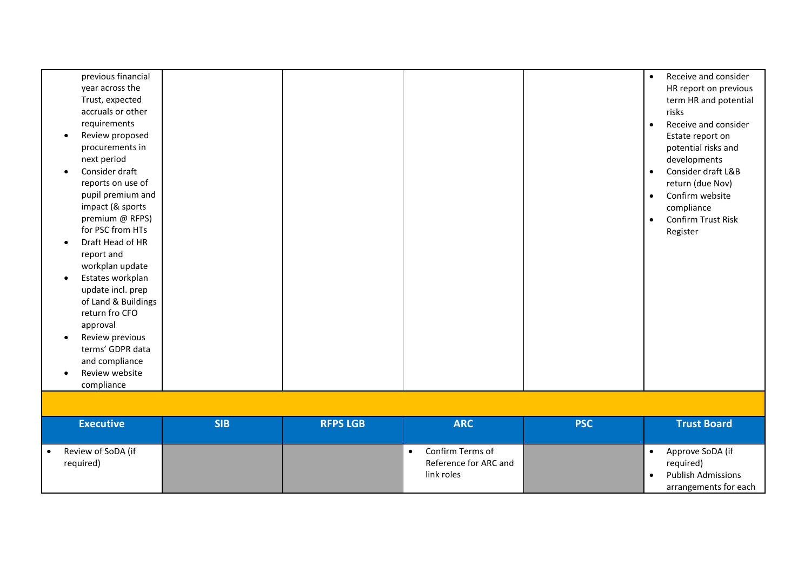| previous financial<br>year across the<br>Trust, expected<br>accruals or other<br>requirements<br>Review proposed<br>$\bullet$<br>procurements in<br>next period<br>Consider draft<br>$\bullet$<br>reports on use of<br>pupil premium and<br>impact (& sports<br>premium @ RFPS)<br>for PSC from HTs<br>Draft Head of HR<br>$\bullet$<br>report and<br>workplan update<br>Estates workplan<br>$\bullet$<br>update incl. prep<br>of Land & Buildings<br>return fro CFO<br>approval<br>Review previous<br>$\bullet$<br>terms' GDPR data<br>and compliance<br>Review website<br>$\bullet$<br>compliance |            |                 |                                                                      |            | Receive and consider<br>$\bullet$<br>HR report on previous<br>term HR and potential<br>risks<br>Receive and consider<br>$\bullet$<br>Estate report on<br>potential risks and<br>developments<br>Consider draft L&B<br>$\bullet$<br>return (due Nov)<br>Confirm website<br>$\bullet$<br>compliance<br>Confirm Trust Risk<br>$\bullet$<br>Register |
|-----------------------------------------------------------------------------------------------------------------------------------------------------------------------------------------------------------------------------------------------------------------------------------------------------------------------------------------------------------------------------------------------------------------------------------------------------------------------------------------------------------------------------------------------------------------------------------------------------|------------|-----------------|----------------------------------------------------------------------|------------|--------------------------------------------------------------------------------------------------------------------------------------------------------------------------------------------------------------------------------------------------------------------------------------------------------------------------------------------------|
| <b>Executive</b>                                                                                                                                                                                                                                                                                                                                                                                                                                                                                                                                                                                    | <b>SIB</b> | <b>RFPS LGB</b> | <b>ARC</b>                                                           | <b>PSC</b> | <b>Trust Board</b>                                                                                                                                                                                                                                                                                                                               |
| Review of SoDA (if<br>$\bullet$<br>required)                                                                                                                                                                                                                                                                                                                                                                                                                                                                                                                                                        |            |                 | Confirm Terms of<br>$\bullet$<br>Reference for ARC and<br>link roles |            | Approve SoDA (if<br>$\bullet$<br>required)<br><b>Publish Admissions</b><br>$\bullet$<br>arrangements for each                                                                                                                                                                                                                                    |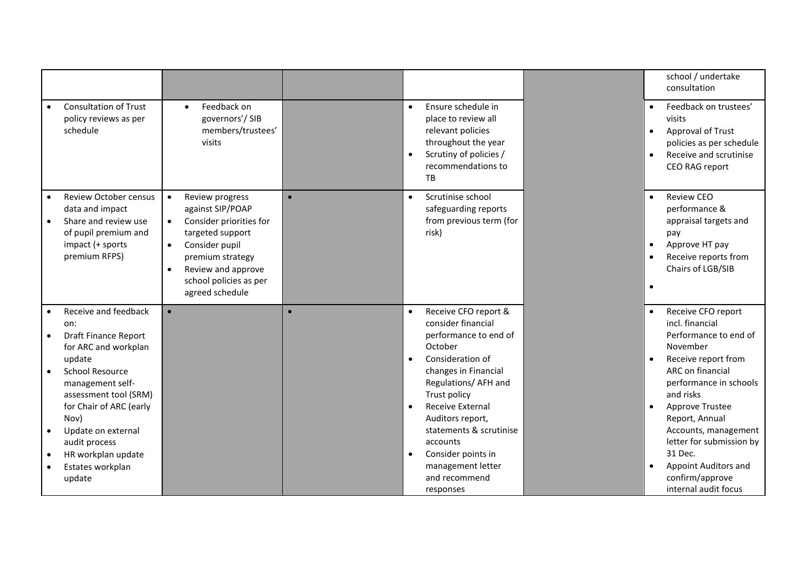|                                                                                                                                                                                                                                                                                                                |                                                                                                                                                                                                                                    |           |                                                                                                                                                                                                                                                                                                                                                                                       | school / undertake<br>consultation                                                                                                                                                                                                                                                                                                         |
|----------------------------------------------------------------------------------------------------------------------------------------------------------------------------------------------------------------------------------------------------------------------------------------------------------------|------------------------------------------------------------------------------------------------------------------------------------------------------------------------------------------------------------------------------------|-----------|---------------------------------------------------------------------------------------------------------------------------------------------------------------------------------------------------------------------------------------------------------------------------------------------------------------------------------------------------------------------------------------|--------------------------------------------------------------------------------------------------------------------------------------------------------------------------------------------------------------------------------------------------------------------------------------------------------------------------------------------|
| <b>Consultation of Trust</b><br>policy reviews as per<br>schedule                                                                                                                                                                                                                                              | Feedback on<br>$\bullet$<br>governors'/SIB<br>members/trustees'<br>visits                                                                                                                                                          |           | Ensure schedule in<br>$\bullet$<br>place to review all<br>relevant policies<br>throughout the year<br>Scrutiny of policies /<br>$\bullet$<br>recommendations to<br>TB                                                                                                                                                                                                                 | Feedback on trustees'<br>visits<br>Approval of Trust<br>policies as per schedule<br>Receive and scrutinise<br>CEO RAG report                                                                                                                                                                                                               |
| <b>Review October census</b><br>data and impact<br>Share and review use<br>of pupil premium and<br>impact (+ sports<br>premium RFPS)                                                                                                                                                                           | Review progress<br>$\bullet$<br>against SIP/POAP<br>Consider priorities for<br>targeted support<br>Consider pupil<br>$\bullet$<br>premium strategy<br>Review and approve<br>$\bullet$<br>school policies as per<br>agreed schedule | $\bullet$ | Scrutinise school<br>$\bullet$<br>safeguarding reports<br>from previous term (for<br>risk)                                                                                                                                                                                                                                                                                            | Review CEO<br>performance &<br>appraisal targets and<br>pay<br>Approve HT pay<br>Receive reports from<br>Chairs of LGB/SIB                                                                                                                                                                                                                 |
| Receive and feedback<br>on:<br><b>Draft Finance Report</b><br>for ARC and workplan<br>update<br><b>School Resource</b><br>management self-<br>assessment tool (SRM)<br>for Chair of ARC (early<br>Nov)<br>Update on external<br>$\bullet$<br>audit process<br>HR workplan update<br>Estates workplan<br>update | $\bullet$                                                                                                                                                                                                                          | $\bullet$ | Receive CFO report &<br>$\bullet$<br>consider financial<br>performance to end of<br>October<br>Consideration of<br>$\bullet$<br>changes in Financial<br>Regulations/ AFH and<br>Trust policy<br><b>Receive External</b><br>$\bullet$<br>Auditors report,<br>statements & scrutinise<br>accounts<br>Consider points in<br>$\bullet$<br>management letter<br>and recommend<br>responses | Receive CFO report<br>incl. financial<br>Performance to end of<br>November<br>Receive report from<br>ARC on financial<br>performance in schools<br>and risks<br>Approve Trustee<br>Report, Annual<br>Accounts, management<br>letter for submission by<br>31 Dec.<br><b>Appoint Auditors and</b><br>confirm/approve<br>internal audit focus |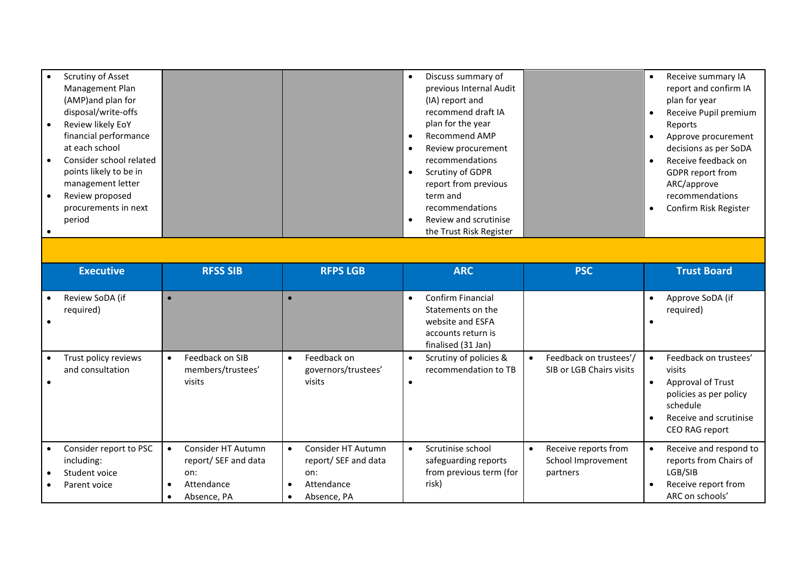| Scrutiny of Asset       |  | Discuss summary of      | Receive summary IA      |
|-------------------------|--|-------------------------|-------------------------|
| Management Plan         |  | previous Internal Audit | report and confirm IA   |
| (AMP)and plan for       |  | (IA) report and         | plan for year           |
| disposal/write-offs     |  | recommend draft IA      | Receive Pupil premium   |
| Review likely EoY       |  | plan for the year       | Reports                 |
| financial performance   |  | Recommend AMP           | Approve procurement     |
| at each school          |  | Review procurement      | decisions as per SoDA   |
| Consider school related |  | recommendations         | Receive feedback on     |
| points likely to be in  |  | <b>Scrutiny of GDPR</b> | <b>GDPR</b> report from |
| management letter       |  | report from previous    | ARC/approve             |
| Review proposed         |  | term and                | recommendations         |
| procurements in next    |  | recommendations         | Confirm Risk Register   |
| period                  |  | Review and scrutinise   |                         |
|                         |  | the Trust Risk Register |                         |

| <b>Executive</b>                                                      | <b>RFSS SIB</b>                                                                             | <b>RFPS LGB</b>                                                                             | <b>ARC</b>                                                                                                                 | <b>PSC</b>                                                          | <b>Trust Board</b>                                                                                                                     |
|-----------------------------------------------------------------------|---------------------------------------------------------------------------------------------|---------------------------------------------------------------------------------------------|----------------------------------------------------------------------------------------------------------------------------|---------------------------------------------------------------------|----------------------------------------------------------------------------------------------------------------------------------------|
| Review SoDA (if<br>required)<br>$\bullet$                             |                                                                                             |                                                                                             | <b>Confirm Financial</b><br>$\bullet$<br>Statements on the<br>website and ESFA<br>accounts return is<br>finalised (31 Jan) |                                                                     | Approve SoDA (if<br>required)                                                                                                          |
| Trust policy reviews<br>and consultation                              | Feedback on SIB<br>$\bullet$<br>members/trustees'<br>visits                                 | Feedback on<br>$\bullet$<br>governors/trustees'<br>visits                                   | Scrutiny of policies &<br>$\bullet$<br>recommendation to TB<br>٠                                                           | Feedback on trustees'/<br>SIB or LGB Chairs visits                  | Feedback on trustees'<br>visits<br>Approval of Trust<br>policies as per policy<br>schedule<br>Receive and scrutinise<br>CEO RAG report |
| Consider report to PSC<br>including:<br>Student voice<br>Parent voice | Consider HT Autumn<br>report/ SEF and data<br>on:<br>Attendance<br>Absence, PA<br>$\bullet$ | Consider HT Autumn<br>report/ SEF and data<br>on:<br>Attendance<br>Absence, PA<br>$\bullet$ | Scrutinise school<br>$\bullet$<br>safeguarding reports<br>from previous term (for<br>risk)                                 | Receive reports from<br>$\bullet$<br>School Improvement<br>partners | Receive and respond to<br>reports from Chairs of<br>LGB/SIB<br>Receive report from<br>ARC on schools'                                  |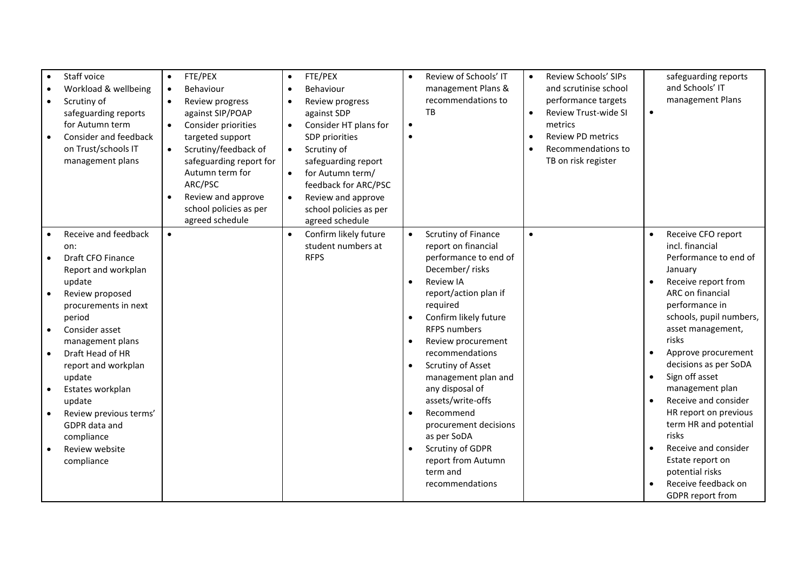|           | Staff voice<br>Workload & wellbeing<br>Scrutiny of<br>safeguarding reports<br>for Autumn term<br>Consider and feedback<br>on Trust/schools IT<br>management plans | $\bullet$<br>$\bullet$ | FTE/PEX<br>Behaviour<br>Review progress<br>against SIP/POAP<br>Consider priorities<br>targeted support<br>Scrutiny/feedback of<br>safeguarding report for<br>Autumn term for<br>ARC/PSC<br>Review and approve<br>school policies as per<br>agreed schedule | $\bullet$<br>$\bullet$<br>$\bullet$<br>$\bullet$ | FTE/PEX<br>Behaviour<br>Review progress<br>against SDP<br>Consider HT plans for<br>SDP priorities<br>Scrutiny of<br>safeguarding report<br>for Autumn term/<br>feedback for ARC/PSC<br>Review and approve<br>school policies as per<br>agreed schedule | $\bullet$<br>$\bullet$<br>$\bullet$ | Review of Schools' IT<br>management Plans &<br>recommendations to<br>TB | $\bullet$<br>$\bullet$<br>$\bullet$ | Review Schools' SIPs<br>and scrutinise school<br>performance targets<br>Review Trust-wide SI<br>metrics<br><b>Review PD metrics</b><br>Recommendations to<br>TB on risk register | $\bullet$ | safeguarding reports<br>and Schools' IT<br>management Plans |
|-----------|-------------------------------------------------------------------------------------------------------------------------------------------------------------------|------------------------|------------------------------------------------------------------------------------------------------------------------------------------------------------------------------------------------------------------------------------------------------------|--------------------------------------------------|--------------------------------------------------------------------------------------------------------------------------------------------------------------------------------------------------------------------------------------------------------|-------------------------------------|-------------------------------------------------------------------------|-------------------------------------|----------------------------------------------------------------------------------------------------------------------------------------------------------------------------------|-----------|-------------------------------------------------------------|
|           | Receive and feedback                                                                                                                                              | $\bullet$              |                                                                                                                                                                                                                                                            | $\bullet$                                        | Confirm likely future<br>student numbers at                                                                                                                                                                                                            | $\bullet$                           | Scrutiny of Finance                                                     | $\bullet$                           |                                                                                                                                                                                  |           | Receive CFO report<br>incl. financial                       |
| $\bullet$ | on:<br>Draft CFO Finance                                                                                                                                          |                        |                                                                                                                                                                                                                                                            |                                                  | <b>RFPS</b>                                                                                                                                                                                                                                            |                                     | report on financial<br>performance to end of                            |                                     |                                                                                                                                                                                  |           | Performance to end of                                       |
|           | Report and workplan                                                                                                                                               |                        |                                                                                                                                                                                                                                                            |                                                  |                                                                                                                                                                                                                                                        |                                     | December/ risks                                                         |                                     |                                                                                                                                                                                  |           | January                                                     |
|           | update                                                                                                                                                            |                        |                                                                                                                                                                                                                                                            |                                                  |                                                                                                                                                                                                                                                        | $\bullet$                           | <b>Review IA</b>                                                        |                                     |                                                                                                                                                                                  |           | Receive report from                                         |
|           | Review proposed                                                                                                                                                   |                        |                                                                                                                                                                                                                                                            |                                                  |                                                                                                                                                                                                                                                        |                                     | report/action plan if                                                   |                                     |                                                                                                                                                                                  |           | ARC on financial                                            |
|           | procurements in next                                                                                                                                              |                        |                                                                                                                                                                                                                                                            |                                                  |                                                                                                                                                                                                                                                        |                                     | required                                                                |                                     |                                                                                                                                                                                  |           | performance in                                              |
|           | period                                                                                                                                                            |                        |                                                                                                                                                                                                                                                            |                                                  |                                                                                                                                                                                                                                                        |                                     | Confirm likely future                                                   |                                     |                                                                                                                                                                                  |           | schools, pupil numbers,                                     |
|           | Consider asset                                                                                                                                                    |                        |                                                                                                                                                                                                                                                            |                                                  |                                                                                                                                                                                                                                                        |                                     | <b>RFPS numbers</b>                                                     |                                     |                                                                                                                                                                                  |           | asset management,<br>risks                                  |
|           | management plans<br>Draft Head of HR                                                                                                                              |                        |                                                                                                                                                                                                                                                            |                                                  |                                                                                                                                                                                                                                                        |                                     | Review procurement<br>recommendations                                   |                                     |                                                                                                                                                                                  |           | Approve procurement                                         |
|           | report and workplan                                                                                                                                               |                        |                                                                                                                                                                                                                                                            |                                                  |                                                                                                                                                                                                                                                        | $\bullet$                           | Scrutiny of Asset                                                       |                                     |                                                                                                                                                                                  |           | decisions as per SoDA                                       |
|           | update                                                                                                                                                            |                        |                                                                                                                                                                                                                                                            |                                                  |                                                                                                                                                                                                                                                        |                                     | management plan and                                                     |                                     |                                                                                                                                                                                  |           | Sign off asset                                              |
|           | Estates workplan                                                                                                                                                  |                        |                                                                                                                                                                                                                                                            |                                                  |                                                                                                                                                                                                                                                        |                                     | any disposal of                                                         |                                     |                                                                                                                                                                                  |           | management plan                                             |
|           | update                                                                                                                                                            |                        |                                                                                                                                                                                                                                                            |                                                  |                                                                                                                                                                                                                                                        |                                     | assets/write-offs                                                       |                                     |                                                                                                                                                                                  |           | Receive and consider                                        |
|           | Review previous terms'                                                                                                                                            |                        |                                                                                                                                                                                                                                                            |                                                  |                                                                                                                                                                                                                                                        | $\bullet$                           | Recommend                                                               |                                     |                                                                                                                                                                                  |           | HR report on previous                                       |
|           | GDPR data and                                                                                                                                                     |                        |                                                                                                                                                                                                                                                            |                                                  |                                                                                                                                                                                                                                                        |                                     | procurement decisions                                                   |                                     |                                                                                                                                                                                  |           | term HR and potential                                       |
|           | compliance                                                                                                                                                        |                        |                                                                                                                                                                                                                                                            |                                                  |                                                                                                                                                                                                                                                        | $\bullet$                           | as per SoDA<br>Scrutiny of GDPR                                         |                                     |                                                                                                                                                                                  |           | risks<br>Receive and consider                               |
| $\bullet$ | Review website<br>compliance                                                                                                                                      |                        |                                                                                                                                                                                                                                                            |                                                  |                                                                                                                                                                                                                                                        |                                     | report from Autumn                                                      |                                     |                                                                                                                                                                                  |           | Estate report on                                            |
|           |                                                                                                                                                                   |                        |                                                                                                                                                                                                                                                            |                                                  |                                                                                                                                                                                                                                                        |                                     | term and                                                                |                                     |                                                                                                                                                                                  |           | potential risks                                             |
|           |                                                                                                                                                                   |                        |                                                                                                                                                                                                                                                            |                                                  |                                                                                                                                                                                                                                                        |                                     | recommendations                                                         |                                     |                                                                                                                                                                                  |           | Receive feedback on                                         |
|           |                                                                                                                                                                   |                        |                                                                                                                                                                                                                                                            |                                                  |                                                                                                                                                                                                                                                        |                                     |                                                                         |                                     |                                                                                                                                                                                  |           | <b>GDPR</b> report from                                     |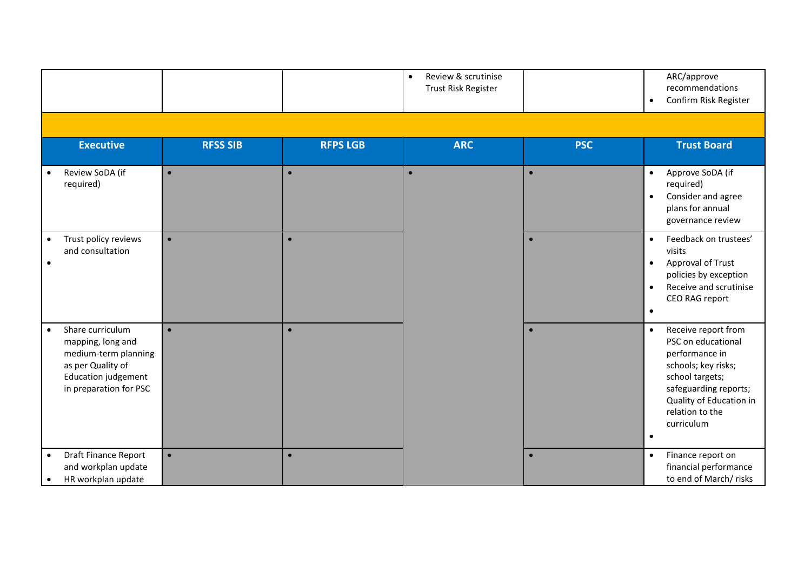|                                                                                                                                                  |                 |                 | Review & scrutinise<br>$\bullet$<br>Trust Risk Register |            | ARC/approve<br>recommendations<br>Confirm Risk Register<br>$\bullet$                                                                                                          |                                                                                                                                                                                                                      |
|--------------------------------------------------------------------------------------------------------------------------------------------------|-----------------|-----------------|---------------------------------------------------------|------------|-------------------------------------------------------------------------------------------------------------------------------------------------------------------------------|----------------------------------------------------------------------------------------------------------------------------------------------------------------------------------------------------------------------|
|                                                                                                                                                  |                 |                 |                                                         |            |                                                                                                                                                                               |                                                                                                                                                                                                                      |
| <b>Executive</b>                                                                                                                                 | <b>RFSS SIB</b> | <b>RFPS LGB</b> | <b>ARC</b>                                              | <b>PSC</b> | <b>Trust Board</b>                                                                                                                                                            |                                                                                                                                                                                                                      |
| Review SoDA (if<br>required)                                                                                                                     | $\bullet$       | $\bullet$       | $\bullet$                                               | $\bullet$  | Approve SoDA (if<br>$\bullet$<br>required)<br>Consider and agree<br>$\bullet$<br>plans for annual<br>governance review                                                        |                                                                                                                                                                                                                      |
| Trust policy reviews<br>$\bullet$<br>and consultation<br>$\bullet$                                                                               | $\bullet$       | $\bullet$       |                                                         | $\bullet$  | Feedback on trustees'<br>$\bullet$<br>visits<br>Approval of Trust<br>$\bullet$<br>policies by exception<br>Receive and scrutinise<br>$\bullet$<br>CEO RAG report<br>$\bullet$ |                                                                                                                                                                                                                      |
| Share curriculum<br>$\bullet$<br>mapping, long and<br>medium-term planning<br>as per Quality of<br>Education judgement<br>in preparation for PSC | $\bullet$       | $\bullet$       |                                                         |            | $\bullet$                                                                                                                                                                     | Receive report from<br>$\bullet$<br>PSC on educational<br>performance in<br>schools; key risks;<br>school targets;<br>safeguarding reports;<br>Quality of Education in<br>relation to the<br>curriculum<br>$\bullet$ |
| <b>Draft Finance Report</b><br>$\bullet$<br>and workplan update<br>HR workplan update<br>$\bullet$                                               | $\bullet$       | $\bullet$       |                                                         | $\bullet$  | Finance report on<br>$\bullet$<br>financial performance<br>to end of March/ risks                                                                                             |                                                                                                                                                                                                                      |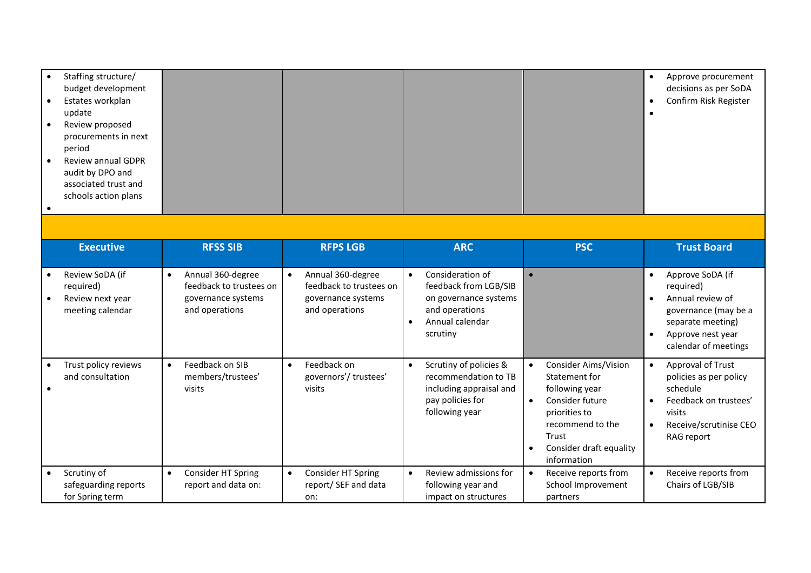| Staffing structure/<br>budget development<br>Estates workplan<br>update<br>Review proposed<br>procurements in next<br>period<br>Review annual GDPR<br>audit by DPO and<br>associated trust and<br>schools action plans<br>$\bullet$ |                                                                                                   |                                                                                                   |                                                                                                                                               |                                                                                                                                                                                                                  | Approve procurement<br>decisions as per SoDA<br>Confirm Risk Register<br>$\bullet$                                                                                    |
|-------------------------------------------------------------------------------------------------------------------------------------------------------------------------------------------------------------------------------------|---------------------------------------------------------------------------------------------------|---------------------------------------------------------------------------------------------------|-----------------------------------------------------------------------------------------------------------------------------------------------|------------------------------------------------------------------------------------------------------------------------------------------------------------------------------------------------------------------|-----------------------------------------------------------------------------------------------------------------------------------------------------------------------|
|                                                                                                                                                                                                                                     |                                                                                                   |                                                                                                   |                                                                                                                                               |                                                                                                                                                                                                                  |                                                                                                                                                                       |
| <b>Executive</b>                                                                                                                                                                                                                    | <b>RFSS SIB</b>                                                                                   | <b>RFPS LGB</b>                                                                                   | <b>ARC</b>                                                                                                                                    | <b>PSC</b>                                                                                                                                                                                                       | <b>Trust Board</b>                                                                                                                                                    |
| Review SoDA (if<br>required)<br>Review next year<br>meeting calendar                                                                                                                                                                | Annual 360-degree<br>$\bullet$<br>feedback to trustees on<br>governance systems<br>and operations | Annual 360-degree<br>$\bullet$<br>feedback to trustees on<br>governance systems<br>and operations | Consideration of<br>$\bullet$<br>feedback from LGB/SIB<br>on governance systems<br>and operations<br>Annual calendar<br>$\bullet$<br>scrutiny | $\bullet$                                                                                                                                                                                                        | Approve SoDA (if<br>$\bullet$<br>required)<br>Annual review of<br>governance (may be a<br>separate meeting)<br>Approve nest year<br>$\bullet$<br>calendar of meetings |
| Trust policy reviews<br>and consultation<br>$\bullet$                                                                                                                                                                               | Feedback on SIB<br>$\bullet$<br>members/trustees'<br>visits                                       | Feedback on<br>$\bullet$<br>governors'/trustees'<br>visits                                        | Scrutiny of policies &<br>$\bullet$<br>recommendation to TB<br>including appraisal and<br>pay policies for<br>following year                  | <b>Consider Aims/Vision</b><br>$\bullet$<br>Statement for<br>following year<br>Consider future<br>$\bullet$<br>priorities to<br>recommend to the<br>Trust<br>Consider draft equality<br>$\bullet$<br>information | Approval of Trust<br>policies as per policy<br>schedule<br>Feedback on trustees'<br>visits<br>Receive/scrutinise CEO<br>$\bullet$<br>RAG report                       |
| Scrutiny of<br>safeguarding reports<br>for Spring term                                                                                                                                                                              | Consider HT Spring<br>$\bullet$<br>report and data on:                                            | Consider HT Spring<br>$\bullet$<br>report/ SEF and data<br>on:                                    | Review admissions for<br>$\bullet$<br>following year and<br>impact on structures                                                              | Receive reports from<br>$\bullet$<br>School Improvement<br>partners                                                                                                                                              | Receive reports from<br>$\bullet$<br>Chairs of LGB/SIB                                                                                                                |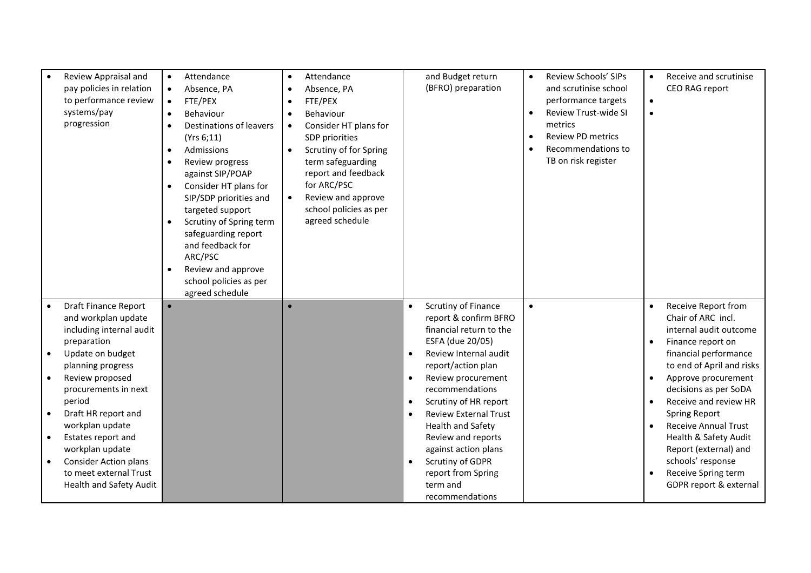| Review Appraisal and<br>pay policies in relation<br>to performance review<br>systems/pay<br>progression                                                           | Attendance<br>$\bullet$<br>Absence, PA<br>$\bullet$<br>FTE/PEX<br>$\bullet$<br>Behaviour<br>$\bullet$<br>Destinations of leavers<br>(Yrs 6; 11)<br>Admissions<br>$\bullet$<br>Review progress<br>$\bullet$<br>against SIP/POAP<br>Consider HT plans for<br>$\bullet$<br>SIP/SDP priorities and<br>targeted support<br>Scrutiny of Spring term<br>safeguarding report | Attendance<br>Absence, PA<br>FTE/PEX<br>Behaviour<br>Consider HT plans for<br>SDP priorities<br>Scrutiny of for Spring<br>term safeguarding<br>report and feedback<br>for ARC/PSC<br>Review and approve<br>$\bullet$<br>school policies as per<br>agreed schedule | and Budget return<br>(BFRO) preparation                                                                                                                                                           | Review Schools' SIPs<br>$\bullet$<br>and scrutinise school<br>performance targets<br>Review Trust-wide SI<br>$\bullet$<br>metrics<br><b>Review PD metrics</b><br>$\bullet$<br>Recommendations to<br>$\bullet$<br>TB on risk register | Receive and scrutinise<br>CEO RAG report<br>$\bullet$                                                                                               |
|-------------------------------------------------------------------------------------------------------------------------------------------------------------------|----------------------------------------------------------------------------------------------------------------------------------------------------------------------------------------------------------------------------------------------------------------------------------------------------------------------------------------------------------------------|-------------------------------------------------------------------------------------------------------------------------------------------------------------------------------------------------------------------------------------------------------------------|---------------------------------------------------------------------------------------------------------------------------------------------------------------------------------------------------|--------------------------------------------------------------------------------------------------------------------------------------------------------------------------------------------------------------------------------------|-----------------------------------------------------------------------------------------------------------------------------------------------------|
|                                                                                                                                                                   | and feedback for<br>ARC/PSC<br>Review and approve<br>school policies as per<br>agreed schedule                                                                                                                                                                                                                                                                       |                                                                                                                                                                                                                                                                   |                                                                                                                                                                                                   |                                                                                                                                                                                                                                      |                                                                                                                                                     |
| <b>Draft Finance Report</b><br>and workplan update<br>including internal audit<br>preparation                                                                     |                                                                                                                                                                                                                                                                                                                                                                      |                                                                                                                                                                                                                                                                   | Scrutiny of Finance<br>$\bullet$<br>report & confirm BFRO<br>financial return to the<br>ESFA (due 20/05)                                                                                          | $\bullet$                                                                                                                                                                                                                            | Receive Report from<br>Chair of ARC incl.<br>internal audit outcome<br>Finance report on                                                            |
| Update on budget<br>planning progress<br>Review proposed<br>procurements in next<br>period<br>Draft HR report and                                                 |                                                                                                                                                                                                                                                                                                                                                                      |                                                                                                                                                                                                                                                                   | Review Internal audit<br>$\bullet$<br>report/action plan<br>Review procurement<br>$\bullet$<br>recommendations<br>Scrutiny of HR report<br>$\bullet$<br><b>Review External Trust</b><br>$\bullet$ |                                                                                                                                                                                                                                      | financial performance<br>to end of April and risks<br>Approve procurement<br>decisions as per SoDA<br>Receive and review HR<br><b>Spring Report</b> |
| workplan update<br>Estates report and<br>$\bullet$<br>workplan update<br><b>Consider Action plans</b><br>to meet external Trust<br><b>Health and Safety Audit</b> |                                                                                                                                                                                                                                                                                                                                                                      |                                                                                                                                                                                                                                                                   | <b>Health and Safety</b><br>Review and reports<br>against action plans<br>Scrutiny of GDPR<br>$\bullet$<br>report from Spring<br>term and<br>recommendations                                      |                                                                                                                                                                                                                                      | <b>Receive Annual Trust</b><br>Health & Safety Audit<br>Report (external) and<br>schools' response<br>Receive Spring term<br>GDPR report & external |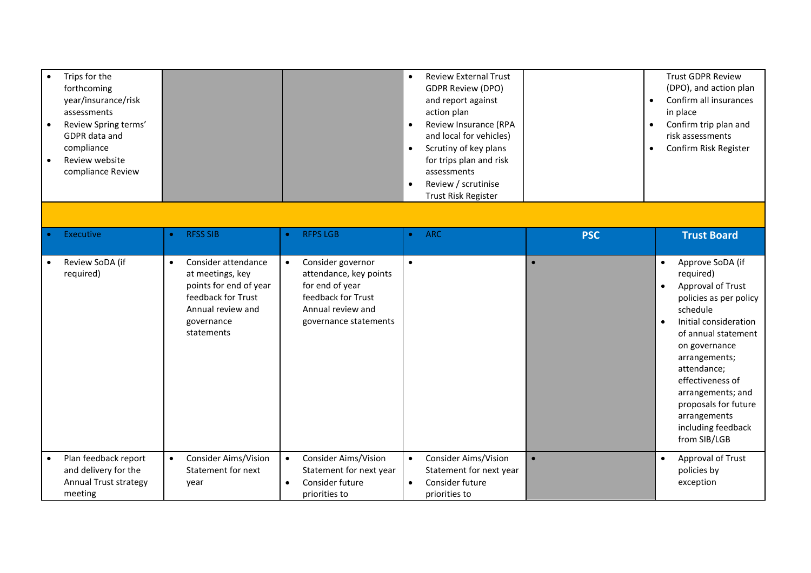| Trips for the<br>forthcoming<br>year/insurance/risk<br>assessments<br>Review Spring terms'<br>GDPR data and<br>compliance<br>Review website<br>compliance Review |                                                                                                                                                       |                                                                                                                                                 | <b>Review External Trust</b><br>$\bullet$<br><b>GDPR Review (DPO)</b><br>and report against<br>action plan<br>Review Insurance (RPA<br>$\bullet$<br>and local for vehicles)<br>Scrutiny of key plans<br>$\bullet$<br>for trips plan and risk<br>assessments<br>Review / scrutinise<br>$\bullet$<br>Trust Risk Register | $\bullet$<br>$\bullet$<br>$\bullet$ | <b>Trust GDPR Review</b><br>(DPO), and action plan<br>Confirm all insurances<br>in place<br>Confirm trip plan and<br>risk assessments<br>Confirm Risk Register                                                                                                                                                                             |
|------------------------------------------------------------------------------------------------------------------------------------------------------------------|-------------------------------------------------------------------------------------------------------------------------------------------------------|-------------------------------------------------------------------------------------------------------------------------------------------------|------------------------------------------------------------------------------------------------------------------------------------------------------------------------------------------------------------------------------------------------------------------------------------------------------------------------|-------------------------------------|--------------------------------------------------------------------------------------------------------------------------------------------------------------------------------------------------------------------------------------------------------------------------------------------------------------------------------------------|
| Executive                                                                                                                                                        | <b>RFSS SIB</b><br>$\bullet$                                                                                                                          | <b>RFPS LGB</b><br>$\bullet$                                                                                                                    | <b>ARC</b><br>$\bullet$                                                                                                                                                                                                                                                                                                |                                     |                                                                                                                                                                                                                                                                                                                                            |
|                                                                                                                                                                  |                                                                                                                                                       |                                                                                                                                                 |                                                                                                                                                                                                                                                                                                                        | <b>PSC</b>                          | <b>Trust Board</b>                                                                                                                                                                                                                                                                                                                         |
| Review SoDA (if<br>required)                                                                                                                                     | Consider attendance<br>$\bullet$<br>at meetings, key<br>points for end of year<br>feedback for Trust<br>Annual review and<br>governance<br>statements | Consider governor<br>$\bullet$<br>attendance, key points<br>for end of year<br>feedback for Trust<br>Annual review and<br>governance statements | $\bullet$                                                                                                                                                                                                                                                                                                              | $\bullet$                           | Approve SoDA (if<br>$\bullet$<br>required)<br>Approval of Trust<br>$\bullet$<br>policies as per policy<br>schedule<br>Initial consideration<br>of annual statement<br>on governance<br>arrangements;<br>attendance;<br>effectiveness of<br>arrangements; and<br>proposals for future<br>arrangements<br>including feedback<br>from SIB/LGB |
| Plan feedback report<br>and delivery for the<br><b>Annual Trust strategy</b><br>meeting                                                                          | <b>Consider Aims/Vision</b><br>$\bullet$<br>Statement for next<br>year                                                                                | Consider Aims/Vision<br>$\bullet$<br>Statement for next year<br>Consider future<br>$\bullet$<br>priorities to                                   | <b>Consider Aims/Vision</b><br>$\bullet$<br>Statement for next year<br>Consider future<br>$\bullet$<br>priorities to                                                                                                                                                                                                   | $\bullet$                           | Approval of Trust<br>$\bullet$<br>policies by<br>exception                                                                                                                                                                                                                                                                                 |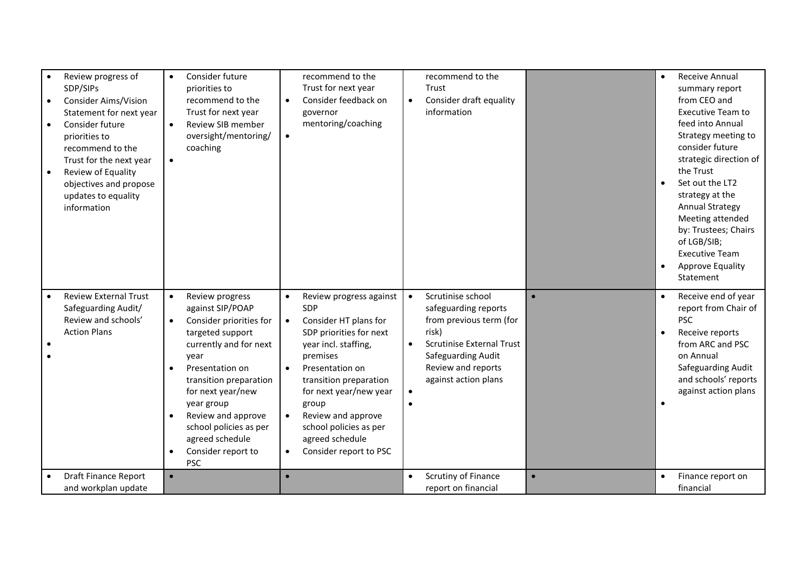| Review progress of<br>SDP/SIPs<br>Consider Aims/Vision<br>Statement for next year<br>Consider future<br>priorities to<br>recommend to the<br>Trust for the next year<br>Review of Equality<br>objectives and propose<br>updates to equality<br>information | Consider future<br>$\bullet$<br>priorities to<br>recommend to the<br>Trust for next year<br>Review SIB member<br>$\bullet$<br>oversight/mentoring/<br>coaching<br>$\bullet$                                                                                                                                                           | recommend to the<br>Trust for next year<br>Consider feedback on<br>$\bullet$<br>governor<br>mentoring/coaching<br>$\bullet$                                                                                                                                                                                                   | recommend to the<br>Trust<br>Consider draft equality<br>$\bullet$<br>information                                                                                                                                             |           | Receive Annual<br>summary report<br>from CEO and<br><b>Executive Team to</b><br>feed into Annual<br>Strategy meeting to<br>consider future<br>strategic direction of<br>the Trust<br>Set out the LT2<br>strategy at the<br><b>Annual Strategy</b><br>Meeting attended<br>by: Trustees; Chairs<br>of LGB/SIB;<br><b>Executive Team</b><br>Approve Equality<br>Statement |
|------------------------------------------------------------------------------------------------------------------------------------------------------------------------------------------------------------------------------------------------------------|---------------------------------------------------------------------------------------------------------------------------------------------------------------------------------------------------------------------------------------------------------------------------------------------------------------------------------------|-------------------------------------------------------------------------------------------------------------------------------------------------------------------------------------------------------------------------------------------------------------------------------------------------------------------------------|------------------------------------------------------------------------------------------------------------------------------------------------------------------------------------------------------------------------------|-----------|------------------------------------------------------------------------------------------------------------------------------------------------------------------------------------------------------------------------------------------------------------------------------------------------------------------------------------------------------------------------|
| <b>Review External Trust</b><br>Safeguarding Audit/<br>Review and schools'<br><b>Action Plans</b>                                                                                                                                                          | Review progress<br>$\bullet$<br>against SIP/POAP<br>Consider priorities for<br>$\bullet$<br>targeted support<br>currently and for next<br>year<br>Presentation on<br>transition preparation<br>for next year/new<br>year group<br>Review and approve<br>school policies as per<br>agreed schedule<br>Consider report to<br><b>PSC</b> | Review progress against<br>SDP<br>Consider HT plans for<br>$\bullet$<br>SDP priorities for next<br>year incl. staffing,<br>premises<br>Presentation on<br>transition preparation<br>for next year/new year<br>group<br>Review and approve<br>school policies as per<br>agreed schedule<br>Consider report to PSC<br>$\bullet$ | Scrutinise school<br>$\bullet$<br>safeguarding reports<br>from previous term (for<br>risk)<br><b>Scrutinise External Trust</b><br>$\bullet$<br>Safeguarding Audit<br>Review and reports<br>against action plans<br>$\bullet$ |           | Receive end of year<br>report from Chair of<br><b>PSC</b><br>Receive reports<br>$\bullet$<br>from ARC and PSC<br>on Annual<br>Safeguarding Audit<br>and schools' reports<br>against action plans                                                                                                                                                                       |
| <b>Draft Finance Report</b><br>and workplan update                                                                                                                                                                                                         | $\bullet$                                                                                                                                                                                                                                                                                                                             | $\bullet$                                                                                                                                                                                                                                                                                                                     | Scrutiny of Finance<br>$\bullet$<br>report on financial                                                                                                                                                                      | $\bullet$ | Finance report on<br>financial                                                                                                                                                                                                                                                                                                                                         |